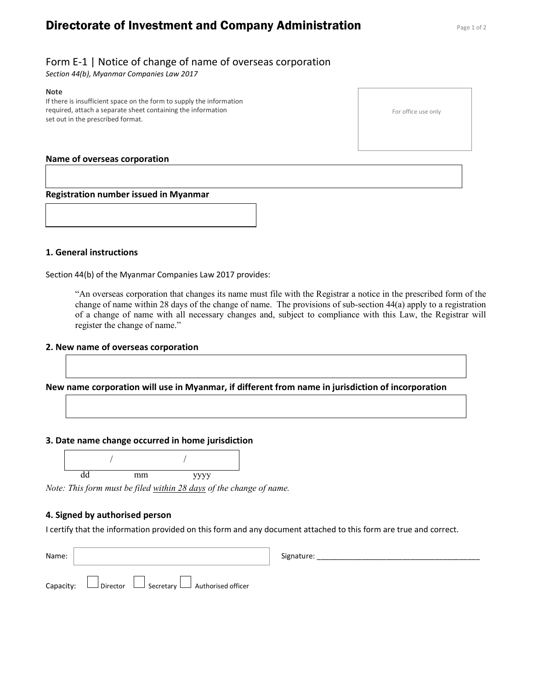# **Directorate of Investment and Company Administration** Page 1 of 2

# Form E-1 | Notice of change of name of overseas corporation

Section 44(b), Myanmar Companies Law 2017

#### Note

If there is insufficient space on the form to supply the information required, attach a separate sheet containing the information set out in the prescribed format.

### Name of overseas corporation

Registration number issued in Myanmar

### 1. General instructions

Section 44(b) of the Myanmar Companies Law 2017 provides:

"An overseas corporation that changes its name must file with the Registrar a notice in the prescribed form of the change of name within 28 days of the change of name. The provisions of sub-section 44(a) apply to a registration of a change of name with all necessary changes and, subject to compliance with this Law, the Registrar will register the change of name."

#### 2. New name of overseas corporation

New name corporation will use in Myanmar, if different from name in jurisdiction of incorporation

#### 3. Date name change occurred in home jurisdiction



Note: This form must be filed within 28 days of the change of name.

### 4. Signed by authorised person

I certify that the information provided on this form and any document attached to this form are true and correct.

| Name: |                                                                      | Signature: |
|-------|----------------------------------------------------------------------|------------|
|       | Capacity: $\Box$ Director $\Box$ Secretary $\Box$ Authorised officer |            |

For office use only